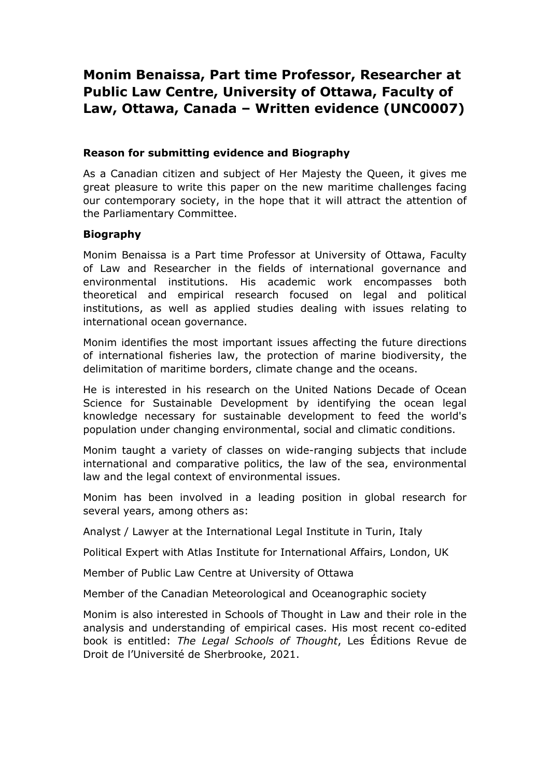# **Monim Benaissa, Part time Professor, Researcher at Public Law Centre, University of Ottawa, Faculty of Law, Ottawa, Canada – Written evidence (UNC0007)**

# **Reason for submitting evidence and Biography**

As a Canadian citizen and subject of Her Majesty the Queen, it gives me great pleasure to write this paper on the new maritime challenges facing our contemporary society, in the hope that it will attract the attention of the Parliamentary Committee.

# **Biography**

Monim Benaissa is a Part time Professor at University of Ottawa, Faculty of Law and Researcher in the fields of international governance and environmental institutions. His academic work encompasses both theoretical and empirical research focused on legal and political institutions, as well as applied studies dealing with issues relating to international ocean governance.

Monim identifies the most important issues affecting the future directions of international fisheries law, the protection of marine biodiversity, the delimitation of maritime borders, climate change and the oceans.

He is interested in his research on the United Nations Decade of Ocean Science for Sustainable Development by identifying the ocean legal knowledge necessary for sustainable development to feed the world's population under changing environmental, social and climatic conditions.

Monim taught a variety of classes on wide-ranging subjects that include international and comparative politics, the law of the sea, environmental law and the legal context of environmental issues.

Monim has been involved in a leading position in global research for several years, among others as:

Analyst / Lawyer at the International Legal Institute in Turin, Italy

Political Expert with Atlas Institute for International Affairs, London, UK

Member of Public Law Centre at University of Ottawa

Member of the Canadian Meteorological and Oceanographic society

Monim is also interested in Schools of Thought in Law and their role in the analysis and understanding of empirical cases. His most recent co-edited book is entitled: *The Legal Schools of Thought*, Les Éditions Revue de Droit de l'Université de Sherbrooke, 2021.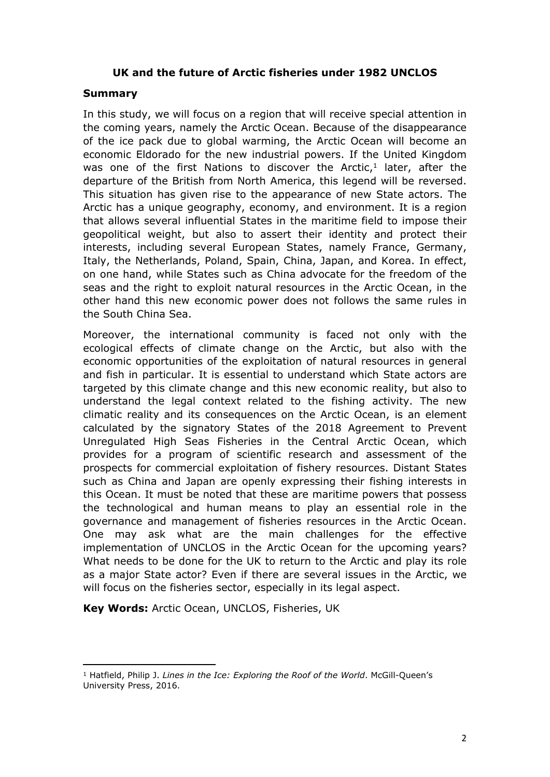# **UK and the future of Arctic fisheries under 1982 UNCLOS**

#### **Summary**

In this study, we will focus on a region that will receive special attention in the coming years, namely the Arctic Ocean. Because of the disappearance of the ice pack due to global warming, the Arctic Ocean will become an economic Eldorado for the new industrial powers. If the United Kingdom was one of the first Nations to discover the Arctic, $1$  later, after the departure of the British from North America, this legend will be reversed. This situation has given rise to the appearance of new State actors. The Arctic has a unique geography, economy, and environment. It is a region that allows several influential States in the maritime field to impose their geopolitical weight, but also to assert their identity and protect their interests, including several European States, namely France, Germany, Italy, the Netherlands, Poland, Spain, China, Japan, and Korea. In effect, on one hand, while States such as China advocate for the freedom of the seas and the right to exploit natural resources in the Arctic Ocean, in the other hand this new economic power does not follows the same rules in the South China Sea.

Moreover, the international community is faced not only with the ecological effects of climate change on the Arctic, but also with the economic opportunities of the exploitation of natural resources in general and fish in particular. It is essential to understand which State actors are targeted by this climate change and this new economic reality, but also to understand the legal context related to the fishing activity. The new climatic reality and its consequences on the Arctic Ocean, is an element calculated by the signatory States of the 2018 Agreement to Prevent Unregulated High Seas Fisheries in the Central Arctic Ocean, which provides for a program of scientific research and assessment of the prospects for commercial exploitation of fishery resources. Distant States such as China and Japan are openly expressing their fishing interests in this Ocean. It must be noted that these are maritime powers that possess the technological and human means to play an essential role in the governance and management of fisheries resources in the Arctic Ocean. One may ask what are the main challenges for the effective implementation of UNCLOS in the Arctic Ocean for the upcoming years? What needs to be done for the UK to return to the Arctic and play its role as a major State actor? Even if there are several issues in the Arctic, we will focus on the fisheries sector, especially in its legal aspect.

**Key Words:** Arctic Ocean, UNCLOS, Fisheries, UK

<sup>1</sup> Hatfield, Philip J. *Lines in the Ice: Exploring the Roof of the World*. McGill-Queen's University Press, 2016.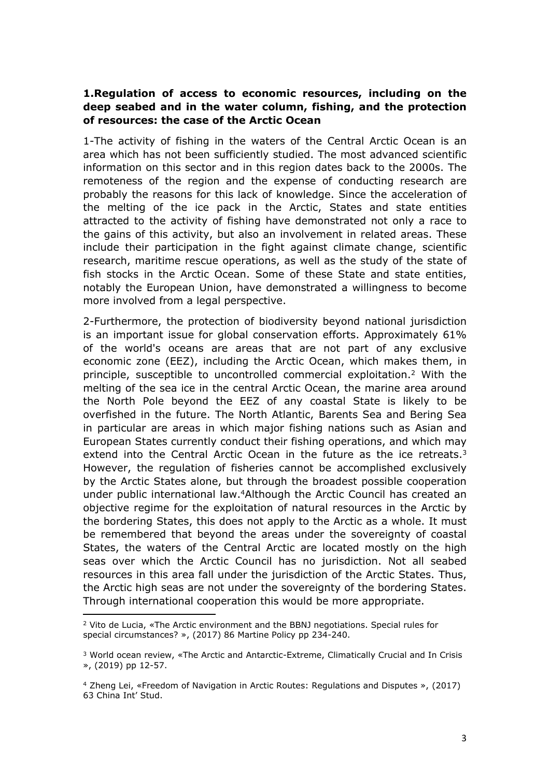# **1.Regulation of access to economic resources, including on the deep seabed and in the water column, fishing, and the protection of resources: the case of the Arctic Ocean**

1-The activity of fishing in the waters of the Central Arctic Ocean is an area which has not been sufficiently studied. The most advanced scientific information on this sector and in this region dates back to the 2000s. The remoteness of the region and the expense of conducting research are probably the reasons for this lack of knowledge. Since the acceleration of the melting of the ice pack in the Arctic, States and state entities attracted to the activity of fishing have demonstrated not only a race to the gains of this activity, but also an involvement in related areas. These include their participation in the fight against climate change, scientific research, maritime rescue operations, as well as the study of the state of fish stocks in the Arctic Ocean. Some of these State and state entities, notably the European Union, have demonstrated a willingness to become more involved from a legal perspective.

2-Furthermore, the protection of biodiversity beyond national jurisdiction is an important issue for global conservation efforts. Approximately 61% of the world's oceans are areas that are not part of any exclusive economic zone (EEZ), including the Arctic Ocean, which makes them, in principle, susceptible to uncontrolled commercial exploitation.<sup>2</sup> With the melting of the sea ice in the central Arctic Ocean, the marine area around the North Pole beyond the EEZ of any coastal State is likely to be overfished in the future. The North Atlantic, Barents Sea and Bering Sea in particular are areas in which major fishing nations such as Asian and European States currently conduct their fishing operations, and which may extend into the Central Arctic Ocean in the future as the ice retreats. $3$ However, the regulation of fisheries cannot be accomplished exclusively by the Arctic States alone, but through the broadest possible cooperation under public international law.<sup>4</sup>Although the Arctic Council has created an objective regime for the exploitation of natural resources in the Arctic by the bordering States, this does not apply to the Arctic as a whole. It must be remembered that beyond the areas under the sovereignty of coastal States, the waters of the Central Arctic are located mostly on the high seas over which the Arctic Council has no jurisdiction. Not all seabed resources in this area fall under the jurisdiction of the Arctic States. Thus, the Arctic high seas are not under the sovereignty of the bordering States. Through international cooperation this would be more appropriate.

<sup>2</sup> Vito de Lucia, «The Arctic environment and the BBNJ negotiations. Special rules for special circumstances? », (2017) 86 Martine Policy pp 234-240.

<sup>3</sup> World ocean review, «The Arctic and Antarctic-Extreme, Climatically Crucial and In Crisis », (2019) pp 12-57.

<sup>4</sup> Zheng Lei, «Freedom of Navigation in Arctic Routes: Regulations and Disputes », (2017) 63 China Int' Stud.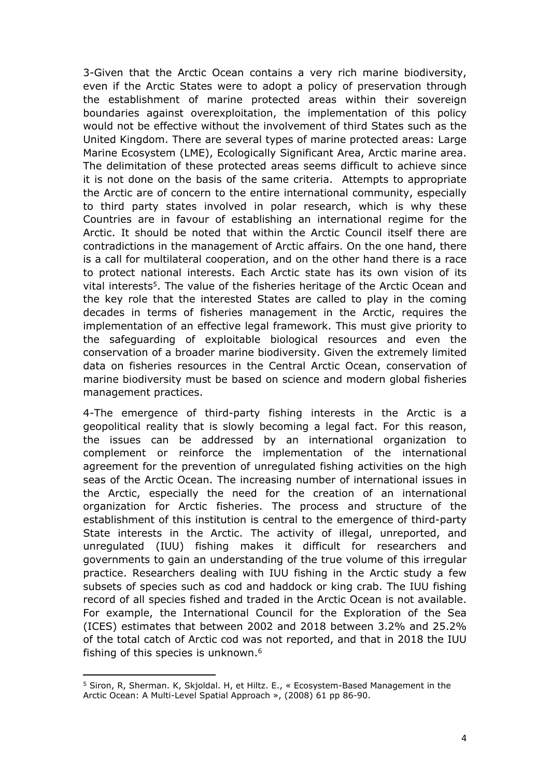3-Given that the Arctic Ocean contains a very rich marine biodiversity, even if the Arctic States were to adopt a policy of preservation through the establishment of marine protected areas within their sovereign boundaries against overexploitation, the implementation of this policy would not be effective without the involvement of third States such as the United Kingdom. There are several types of marine protected areas: Large Marine Ecosystem (LME), Ecologically Significant Area, Arctic marine area. The delimitation of these protected areas seems difficult to achieve since it is not done on the basis of the same criteria. Attempts to appropriate the Arctic are of concern to the entire international community, especially to third party states involved in polar research, which is why these Countries are in favour of establishing an international regime for the Arctic. It should be noted that within the Arctic Council itself there are contradictions in the management of Arctic affairs. On the one hand, there is a call for multilateral cooperation, and on the other hand there is a race to protect national interests. Each Arctic state has its own vision of its vital interests<sup>5</sup>. The value of the fisheries heritage of the Arctic Ocean and the key role that the interested States are called to play in the coming decades in terms of fisheries management in the Arctic, requires the implementation of an effective legal framework. This must give priority to the safeguarding of exploitable biological resources and even the conservation of a broader marine biodiversity. Given the extremely limited data on fisheries resources in the Central Arctic Ocean, conservation of marine biodiversity must be based on science and modern global fisheries management practices.

4-The emergence of third-party fishing interests in the Arctic is a geopolitical reality that is slowly becoming a legal fact. For this reason, the issues can be addressed by an international organization to complement or reinforce the implementation of the international agreement for the prevention of unregulated fishing activities on the high seas of the Arctic Ocean. The increasing number of international issues in the Arctic, especially the need for the creation of an international organization for Arctic fisheries. The process and structure of the establishment of this institution is central to the emergence of third-party State interests in the Arctic. The activity of illegal, unreported, and unregulated (IUU) fishing makes it difficult for researchers and governments to gain an understanding of the true volume of this irregular practice. Researchers dealing with IUU fishing in the Arctic study a few subsets of species such as cod and haddock or king crab. The IUU fishing record of all species fished and traded in the Arctic Ocean is not available. For example, the International Council for the Exploration of the Sea (ICES) estimates that between 2002 and 2018 between 3.2% and 25.2% of the total catch of Arctic cod was not reported, and that in 2018 the IUU fishing of this species is unknown.<sup>6</sup>

<sup>5</sup> Siron, R, Sherman. K, Skjoldal. H, et Hiltz. E., « Ecosystem-Based Management in the Arctic Ocean: A Multi-Level Spatial Approach », (2008) 61 pp 86-90.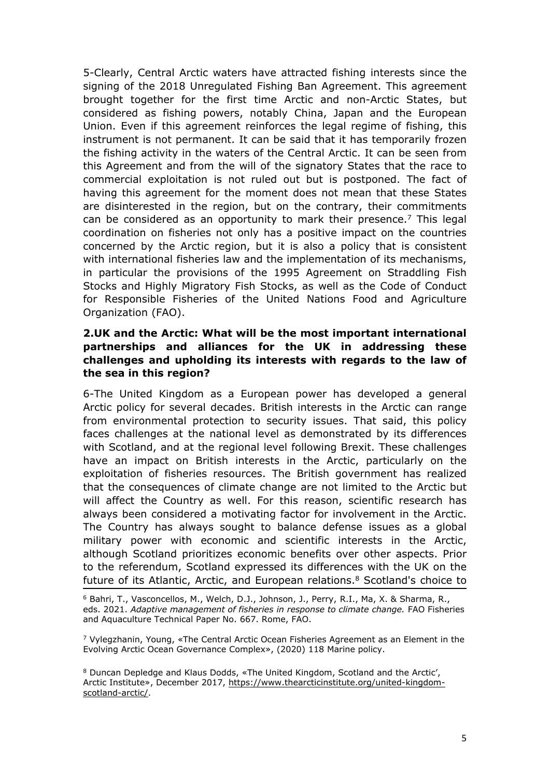5-Clearly, Central Arctic waters have attracted fishing interests since the signing of the 2018 Unregulated Fishing Ban Agreement. This agreement brought together for the first time Arctic and non-Arctic States, but considered as fishing powers, notably China, Japan and the European Union. Even if this agreement reinforces the legal regime of fishing, this instrument is not permanent. It can be said that it has temporarily frozen the fishing activity in the waters of the Central Arctic. It can be seen from this Agreement and from the will of the signatory States that the race to commercial exploitation is not ruled out but is postponed. The fact of having this agreement for the moment does not mean that these States are disinterested in the region, but on the contrary, their commitments can be considered as an opportunity to mark their presence.<sup>7</sup> This legal coordination on fisheries not only has a positive impact on the countries concerned by the Arctic region, but it is also a policy that is consistent with international fisheries law and the implementation of its mechanisms, in particular the provisions of the 1995 Agreement on Straddling Fish Stocks and Highly Migratory Fish Stocks, as well as the Code of Conduct for Responsible Fisheries of the United Nations Food and Agriculture Organization (FAO).

# **2.UK and the Arctic: What will be the most important international partnerships and alliances for the UK in addressing these challenges and upholding its interests with regards to the law of the sea in this region?**

6-The United Kingdom as a European power has developed a general Arctic policy for several decades. British interests in the Arctic can range from environmental protection to security issues. That said, this policy faces challenges at the national level as demonstrated by its differences with Scotland, and at the regional level following Brexit. These challenges have an impact on British interests in the Arctic, particularly on the exploitation of fisheries resources. The British government has realized that the consequences of climate change are not limited to the Arctic but will affect the Country as well. For this reason, scientific research has always been considered a motivating factor for involvement in the Arctic. The Country has always sought to balance defense issues as a global military power with economic and scientific interests in the Arctic, although Scotland prioritizes economic benefits over other aspects. Prior to the referendum, Scotland expressed its differences with the UK on the future of its Atlantic, Arctic, and European relations.<sup>8</sup> Scotland's choice to

<sup>6</sup> Bahri, T., Vasconcellos, M., Welch, D.J., Johnson, J., Perry, R.I., Ma, X. & Sharma, R., eds. 2021. *Adaptive management of fisheries in response to climate change.* FAO Fisheries and Aquaculture Technical Paper No. 667. Rome, FAO.

<sup>7</sup> Vylegzhanin, Young, «The Central Arctic Ocean Fisheries Agreement as an Element in the Evolving Arctic Ocean Governance Complex», (2020) 118 Marine policy.

<sup>8</sup> Duncan Depledge and Klaus Dodds, «The United Kingdom, Scotland and the Arctic', Arctic Institute», December 2017, [https://www.thearcticinstitute.org/united-kingdom](https://www.thearcticinstitute.org/united-kingdom-scotland-arctic/)[scotland-arctic/](https://www.thearcticinstitute.org/united-kingdom-scotland-arctic/).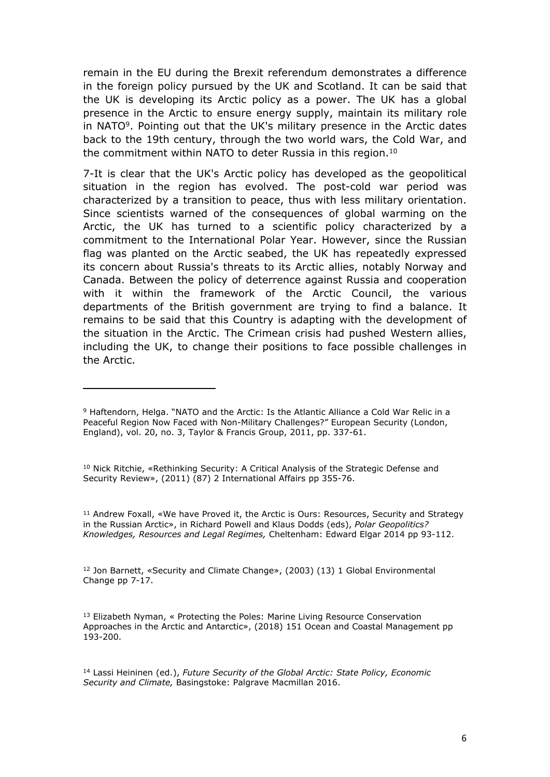remain in the EU during the Brexit referendum demonstrates a difference in the foreign policy pursued by the UK and Scotland. It can be said that the UK is developing its Arctic policy as a power. The UK has a global presence in the Arctic to ensure energy supply, maintain its military role in NATO<sup>9</sup>. Pointing out that the UK's military presence in the Arctic dates back to the 19th century, through the two world wars, the Cold War, and the commitment within NATO to deter Russia in this region.<sup>10</sup>

7-It is clear that the UK's Arctic policy has developed as the geopolitical situation in the region has evolved. The post-cold war period was characterized by a transition to peace, thus with less military orientation. Since scientists warned of the consequences of global warming on the Arctic, the UK has turned to a scientific policy characterized by a commitment to the International Polar Year. However, since the Russian flag was planted on the Arctic seabed, the UK has repeatedly expressed its concern about Russia's threats to its Arctic allies, notably Norway and Canada. Between the policy of deterrence against Russia and cooperation with it within the framework of the Arctic Council, the various departments of the British government are trying to find a balance. It remains to be said that this Country is adapting with the development of the situation in the Arctic. The Crimean crisis had pushed Western allies, including the UK, to change their positions to face possible challenges in the Arctic.

<sup>10</sup> Nick Ritchie, «Rethinking Security: A Critical Analysis of the Strategic Defense and Security Review», (2011) (87) 2 International Affairs pp 355-76.

<sup>11</sup> Andrew Foxall, «We have Proved it, the Arctic is Ours: Resources, Security and Strategy in the Russian Arctic», in Richard Powell and Klaus Dodds (eds), *Polar Geopolitics? Knowledges, Resources and Legal Regimes,* Cheltenham: Edward Elgar 2014 pp 93-112.

<sup>12</sup> Jon Barnett, «Security and Climate Change», (2003) (13) 1 Global Environmental Change pp 7-17.

<sup>13</sup> Elizabeth Nyman, « Protecting the Poles: Marine Living Resource Conservation Approaches in the Arctic and Antarctic», (2018) 151 Ocean and Coastal Management pp 193-200.

<sup>14</sup> Lassi Heininen (ed.), *Future Security of the Global Arctic: State Policy, Economic Security and Climate,* Basingstoke: Palgrave Macmillan 2016.

<sup>9</sup> Haftendorn, Helga. "NATO and the Arctic: Is the Atlantic Alliance a Cold War Relic in a Peaceful Region Now Faced with Non-Military Challenges?" European Security (London, England), vol. 20, no. 3, Taylor & Francis Group, 2011, pp. 337-61.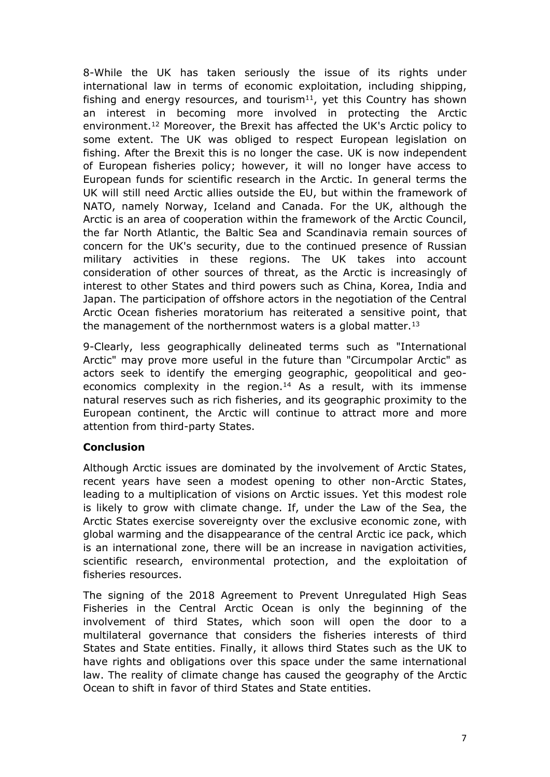8-While the UK has taken seriously the issue of its rights under international law in terms of economic exploitation, including shipping, fishing and energy resources, and tourism<sup>11</sup>, yet this Country has shown an interest in becoming more involved in protecting the Arctic environment.<sup>12</sup> Moreover, the Brexit has affected the UK's Arctic policy to some extent. The UK was obliged to respect European legislation on fishing. After the Brexit this is no longer the case. UK is now independent of European fisheries policy; however, it will no longer have access to European funds for scientific research in the Arctic. In general terms the UK will still need Arctic allies outside the EU, but within the framework of NATO, namely Norway, Iceland and Canada. For the UK, although the Arctic is an area of cooperation within the framework of the Arctic Council, the far North Atlantic, the Baltic Sea and Scandinavia remain sources of concern for the UK's security, due to the continued presence of Russian military activities in these regions. The UK takes into account consideration of other sources of threat, as the Arctic is increasingly of interest to other States and third powers such as China, Korea, India and Japan. The participation of offshore actors in the negotiation of the Central Arctic Ocean fisheries moratorium has reiterated a sensitive point, that the management of the northernmost waters is a global matter.<sup>13</sup>

9-Clearly, less geographically delineated terms such as "International Arctic" may prove more useful in the future than "Circumpolar Arctic" as actors seek to identify the emerging geographic, geopolitical and geoeconomics complexity in the region.<sup>14</sup> As a result, with its immense natural reserves such as rich fisheries, and its geographic proximity to the European continent, the Arctic will continue to attract more and more attention from third-party States.

# **Conclusion**

Although Arctic issues are dominated by the involvement of Arctic States, recent years have seen a modest opening to other non-Arctic States, leading to a multiplication of visions on Arctic issues. Yet this modest role is likely to grow with climate change. If, under the Law of the Sea, the Arctic States exercise sovereignty over the exclusive economic zone, with global warming and the disappearance of the central Arctic ice pack, which is an international zone, there will be an increase in navigation activities, scientific research, environmental protection, and the exploitation of fisheries resources.

The signing of the 2018 Agreement to Prevent Unregulated High Seas Fisheries in the Central Arctic Ocean is only the beginning of the involvement of third States, which soon will open the door to a multilateral governance that considers the fisheries interests of third States and State entities. Finally, it allows third States such as the UK to have rights and obligations over this space under the same international law. The reality of climate change has caused the geography of the Arctic Ocean to shift in favor of third States and State entities.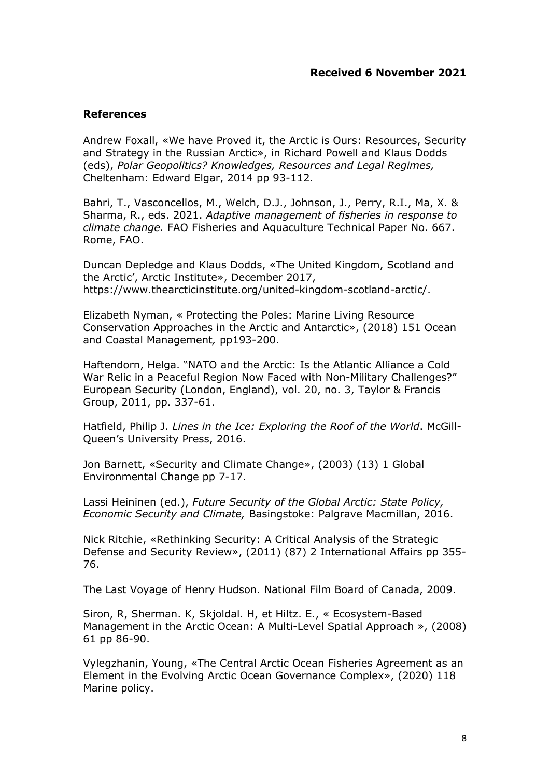# **References**

Andrew Foxall, «We have Proved it, the Arctic is Ours: Resources, Security and Strategy in the Russian Arctic», in Richard Powell and Klaus Dodds (eds), *Polar Geopolitics? Knowledges, Resources and Legal Regimes,* Cheltenham: Edward Elgar, 2014 pp 93-112.

Bahri, T., Vasconcellos, M., Welch, D.J., Johnson, J., Perry, R.I., Ma, X. & Sharma, R., eds. 2021. *Adaptive management of fisheries in response to climate change.* FAO Fisheries and Aquaculture Technical Paper No. 667. Rome, FAO.

Duncan Depledge and Klaus Dodds, «The United Kingdom, Scotland and the Arctic', Arctic Institute», December 2017, [https://www.thearcticinstitute.org/united-kingdom-scotland-arctic/.](https://www.thearcticinstitute.org/united-kingdom-scotland-arctic/)

Elizabeth Nyman, « Protecting the Poles: Marine Living Resource Conservation Approaches in the Arctic and Antarctic», (2018) 151 Ocean and Coastal Management*,* pp193-200.

Haftendorn, Helga. "NATO and the Arctic: Is the Atlantic Alliance a Cold War Relic in a Peaceful Region Now Faced with Non-Military Challenges?" European Security (London, England), vol. 20, no. 3, Taylor & Francis Group, 2011, pp. 337-61.

Hatfield, Philip J. *Lines in the Ice: Exploring the Roof of the World*. McGill-Queen's University Press, 2016.

Jon Barnett, «Security and Climate Change», (2003) (13) 1 Global Environmental Change pp 7-17.

Lassi Heininen (ed.), *Future Security of the Global Arctic: State Policy, Economic Security and Climate,* Basingstoke: Palgrave Macmillan, 2016.

Nick Ritchie, «Rethinking Security: A Critical Analysis of the Strategic Defense and Security Review», (2011) (87) 2 International Affairs pp 355- 76.

The Last Voyage of Henry Hudson. National Film Board of Canada, 2009.

Siron, R, Sherman. K, Skjoldal. H, et Hiltz. E., « Ecosystem-Based Management in the Arctic Ocean: A Multi-Level Spatial Approach », (2008) 61 pp 86-90.

Vylegzhanin, Young, «The Central Arctic Ocean Fisheries Agreement as an Element in the Evolving Arctic Ocean Governance Complex», (2020) 118 Marine policy.